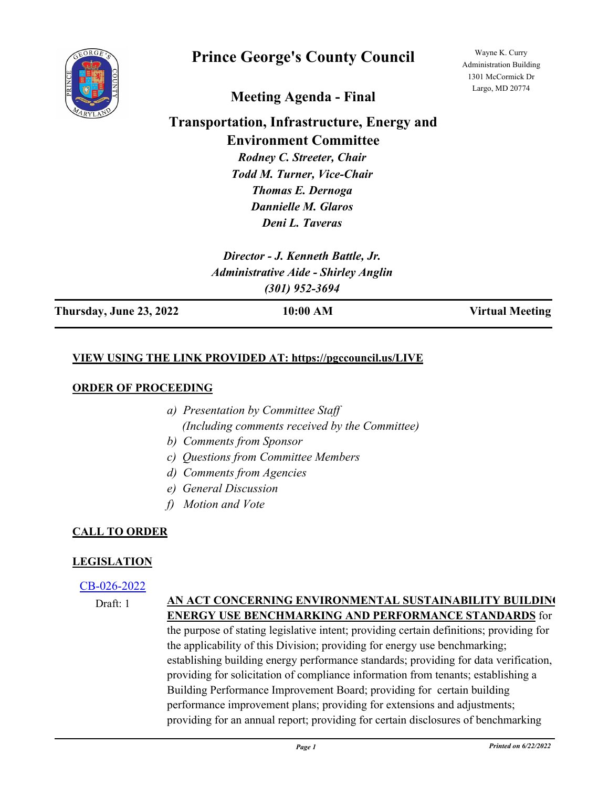

# **Prince George's County Council**

Wayne K. Curry Administration Building 1301 McCormick Dr Largo, MD 20774

**Meeting Agenda - Final**

# **Transportation, Infrastructure, Energy and Environment Committee**

*Rodney C. Streeter, Chair Todd M. Turner, Vice-Chair Thomas E. Dernoga Dannielle M. Glaros Deni L. Taveras*

*Director - J. Kenneth Battle, Jr. Administrative Aide - Shirley Anglin (301) 952-3694*

**Thursday, June 23, 2022 10:00 AM Virtual Meeting**

# **VIEW USING THE LINK PROVIDED AT: https://pgccouncil.us/LIVE**

#### **ORDER OF PROCEEDING**

- *a) Presentation by Committee Staff (Including comments received by the Committee)*
- *b) Comments from Sponsor*
- *c) Questions from Committee Members*
- *d) Comments from Agencies*
- *e) General Discussion*
- *f) Motion and Vote*

# **CALL TO ORDER**

# **LEGISLATION**

#### [CB-026-2022](http://princegeorgescountymd.legistar.com/gateway.aspx?m=l&id=/matter.aspx?key=14443)

Draft: 1

#### **AN ACT CONCERNING ENVIRONMENTAL SUSTAINABILITY BUILDING ENERGY USE BENCHMARKING AND PERFORMANCE STANDARDS** for

the purpose of stating legislative intent; providing certain definitions; providing for the applicability of this Division; providing for energy use benchmarking; establishing building energy performance standards; providing for data verification, providing for solicitation of compliance information from tenants; establishing a Building Performance Improvement Board; providing for certain building performance improvement plans; providing for extensions and adjustments; providing for an annual report; providing for certain disclosures of benchmarking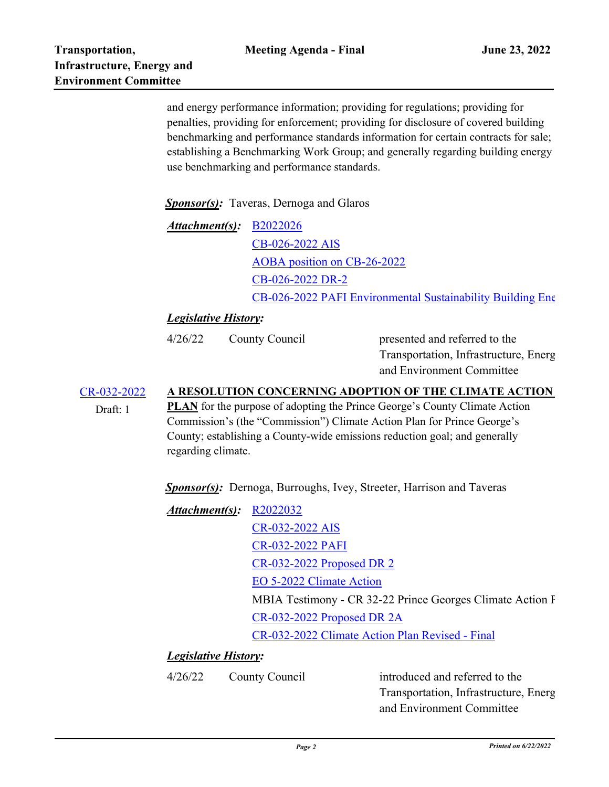Draft: 1

and energy performance information; providing for regulations; providing for penalties, providing for enforcement; providing for disclosure of covered building benchmarking and performance standards information for certain contracts for sale; establishing a Benchmarking Work Group; and generally regarding building energy use benchmarking and performance standards.

*Sponsor(s):* Taveras, Dernoga and Glaros

*Attachment(s):* **[B2022026](http://princegeorgescountymd.legistar.com/gateway.aspx?M=F&ID=5455ff52-ed4f-420d-b0c7-fdab1613dabc.docx)** [CB-026-2022 AIS](http://princegeorgescountymd.legistar.com/gateway.aspx?M=F&ID=e52b1c4a-f948-40fe-853d-9341f976553c.pdf) [AOBA position on CB-26-2022](http://princegeorgescountymd.legistar.com/gateway.aspx?M=F&ID=9bb20fe9-e8b1-4f4b-92ba-509a29bec19f.pdf) [CB-026-2022 DR-2](http://princegeorgescountymd.legistar.com/gateway.aspx?M=F&ID=ab4bd89f-6d3d-4873-8b9d-ae8130b578db.pdf) [CB-026-2022 PAFI Environmental Sustainability Building Energ](http://princegeorgescountymd.legistar.com/gateway.aspx?M=F&ID=0abea352-4a43-47a6-ac03-b5b971276a5c.pdf)y

# *Legislative History:*

4/26/22 County Council

presented and referred to the Transportation, Infrastructure, Energy and Environment Committee

#### [CR-032-2022](http://princegeorgescountymd.legistar.com/gateway.aspx?m=l&id=/matter.aspx?key=14745) **A RESOLUTION CONCERNING ADOPTION OF THE CLIMATE ACTION**

**PLAN** for the purpose of adopting the Prince George's County Climate Action Commission's (the "Commission") Climate Action Plan for Prince George's County; establishing a County-wide emissions reduction goal; and generally regarding climate.

*Sponsor(s):* Dernoga, Burroughs, Ivey, Streeter, Harrison and Taveras

| Attachment(s): R2022032 |                                                           |
|-------------------------|-----------------------------------------------------------|
|                         | CR-032-2022 AIS                                           |
|                         | <b>CR-032-2022 PAFI</b>                                   |
|                         | CR-032-2022 Proposed DR 2                                 |
|                         | EO 5-2022 Climate Action                                  |
|                         | MBIA Testimony - CR 32-22 Prince Georges Climate Action F |
|                         | CR-032-2022 Proposed DR 2A                                |
|                         | CR-032-2022 Climate Action Plan Revised - Final           |

#### *Legislative History:*

4/26/22 County Council

introduced and referred to the Transportation, Infrastructure, Energy and Environment Committee